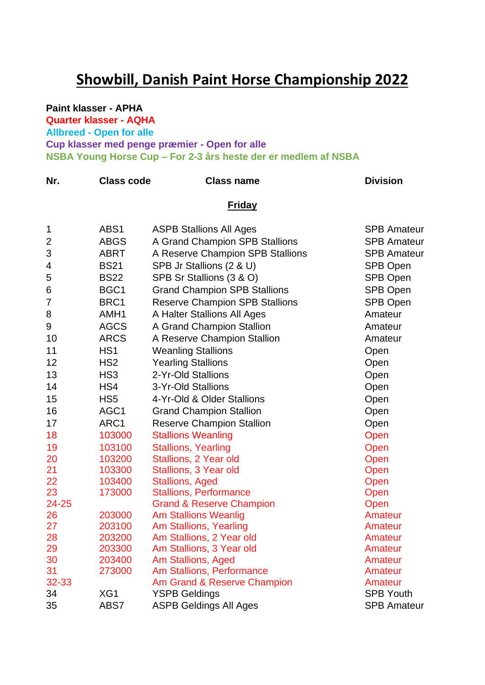## **Showbill, Danish Paint Horse Championship 2022**

## **Paint klasser - APHA**

**Quarter klasser - AQHA**

**Allbreed - Open for alle**

**Cup klasser med penge præmier - Open for alle**

**NSBA Young Horse Cup – For 2-3 års heste der er medlem af NSBA**

| Nr.            | <b>Class code</b> | <b>Class name</b>                                       | <b>Division</b>    |  |  |  |
|----------------|-------------------|---------------------------------------------------------|--------------------|--|--|--|
|                | <u>Friday</u>     |                                                         |                    |  |  |  |
| 1              | ABS1              | <b>ASPB Stallions All Ages</b>                          | <b>SPB Amateur</b> |  |  |  |
| $\overline{2}$ | <b>ABGS</b>       | A Grand Champion SPB Stallions                          | <b>SPB Amateur</b> |  |  |  |
| 3              | <b>ABRT</b>       | A Reserve Champion SPB Stallions                        | <b>SPB Amateur</b> |  |  |  |
| 4              | <b>BS21</b>       | SPB Jr Stallions (2 & U)                                | SPB Open           |  |  |  |
| 5              | <b>BS22</b>       | SPB Sr Stallions (3 & O)                                | <b>SPB Open</b>    |  |  |  |
| 6              | BGC1              | <b>Grand Champion SPB Stallions</b>                     | <b>SPB Open</b>    |  |  |  |
| 7              | BRC1              | <b>Reserve Champion SPB Stallions</b>                   | SPB Open           |  |  |  |
| 8              | AMH <sub>1</sub>  | A Halter Stallions All Ages                             | Amateur            |  |  |  |
| 9              | <b>AGCS</b>       | A Grand Champion Stallion                               | Amateur            |  |  |  |
| 10             | <b>ARCS</b>       | A Reserve Champion Stallion                             | Amateur            |  |  |  |
| 11             | HS <sub>1</sub>   | <b>Weanling Stallions</b>                               | Open               |  |  |  |
| 12             | HS <sub>2</sub>   | <b>Yearling Stallions</b>                               | Open               |  |  |  |
| 13             | HS <sub>3</sub>   | 2-Yr-Old Stallions                                      | Open               |  |  |  |
| 14             | HS4               | 3-Yr-Old Stallions                                      | Open               |  |  |  |
| 15             | HS <sub>5</sub>   | 4-Yr-Old & Older Stallions                              | Open               |  |  |  |
| 16             | AGC1              |                                                         |                    |  |  |  |
| 17             | ARC1              | <b>Grand Champion Stallion</b>                          | Open               |  |  |  |
|                |                   | <b>Reserve Champion Stallion</b>                        | Open               |  |  |  |
| 18             | 103000            | <b>Stallions Weanling</b>                               | Open               |  |  |  |
| 19             | 103100            | <b>Stallions, Yearling</b>                              | Open               |  |  |  |
| 20             | 103200            | Stallions, 2 Year old                                   | Open               |  |  |  |
| 21<br>22       | 103300<br>103400  | Stallions, 3 Year old                                   | Open               |  |  |  |
| 23             | 173000            | <b>Stallions, Aged</b><br><b>Stallions, Performance</b> | Open<br>Open       |  |  |  |
| 24-25          |                   | <b>Grand &amp; Reserve Champion</b>                     | Open               |  |  |  |
| 26             | 203000            | <b>Am Stallions Weanlig</b>                             | Amateur            |  |  |  |
| 27             | 203100            | Am Stallions, Yearling                                  | Amateur            |  |  |  |
| 28             | 203200            | Am Stallions, 2 Year old                                | Amateur            |  |  |  |
| 29             | 203300            | Am Stallions, 3 Year old                                | Amateur            |  |  |  |
| 30             | 203400            | Am Stallions, Aged                                      | Amateur            |  |  |  |
| 31             | 273000            | Am Stallions, Performance                               | Amateur            |  |  |  |
| 32-33          |                   | Am Grand & Reserve Champion                             | Amateur            |  |  |  |
| 34             | XG1               | <b>YSPB Geldings</b>                                    | <b>SPB Youth</b>   |  |  |  |
| 35             | ABS7              | <b>ASPB Geldings All Ages</b>                           | <b>SPB Amateur</b> |  |  |  |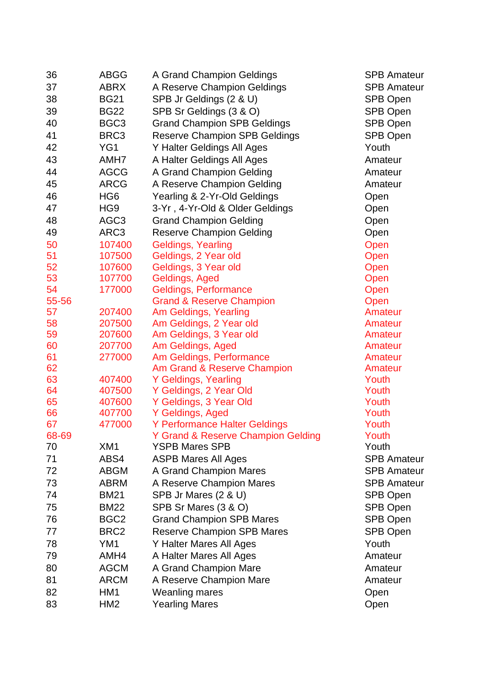| 36          | ABGG                       | A Grand Champion Geldings                                   | <b>SPB Amateur</b>                       |
|-------------|----------------------------|-------------------------------------------------------------|------------------------------------------|
| 37          | ABRX                       | A Reserve Champion Geldings                                 | <b>SPB Amateur</b>                       |
| 38          | <b>BG21</b>                | SPB Jr Geldings (2 & U)                                     | SPB Open                                 |
| 39          | <b>BG22</b>                | SPB Sr Geldings (3 & O)                                     | SPB Open                                 |
| 40          | BGC <sub>3</sub>           | <b>Grand Champion SPB Geldings</b>                          | SPB Open                                 |
| 41          | BRC3                       | <b>Reserve Champion SPB Geldings</b>                        | SPB Open                                 |
| 42          | YG1                        | Y Halter Geldings All Ages                                  | Youth                                    |
| 43          | AMH7                       | A Halter Geldings All Ages                                  | Amateur                                  |
| 44          | <b>AGCG</b>                | A Grand Champion Gelding                                    | Amateur                                  |
| 45          | <b>ARCG</b>                | A Reserve Champion Gelding                                  | Amateur                                  |
| 46          | HG <sub>6</sub>            | Yearling & 2-Yr-Old Geldings                                | Open                                     |
| 47          | HG <sub>9</sub>            | 3-Yr, 4-Yr-Old & Older Geldings                             | Open                                     |
| 48          | AGC <sub>3</sub>           | <b>Grand Champion Gelding</b>                               | Open                                     |
| 49          | ARC3                       | <b>Reserve Champion Gelding</b>                             | Open                                     |
| 50          | 107400                     | Geldings, Yearling                                          | Open                                     |
| 51          | 107500                     | Geldings, 2 Year old                                        | Open                                     |
| 52          | 107600                     | Geldings, 3 Year old                                        | Open                                     |
| 53          | 107700                     | Geldings, Aged                                              | Open                                     |
| 54          | 177000                     | Geldings, Performance                                       | Open                                     |
| 55-56       |                            | <b>Grand &amp; Reserve Champion</b>                         | Open                                     |
| 57          | 207400                     | Am Geldings, Yearling                                       | Amateur                                  |
| 58          | 207500                     | Am Geldings, 2 Year old                                     | Amateur                                  |
| 59          | 207600                     | Am Geldings, 3 Year old                                     | Amateur                                  |
| 60          | 207700                     | Am Geldings, Aged                                           | Amateur                                  |
| 61          | 277000                     | Am Geldings, Performance                                    | Amateur                                  |
| 62          |                            | Am Grand & Reserve Champion                                 | Amateur                                  |
| 63          | 407400                     | Y Geldings, Yearling                                        | Youth                                    |
| 64          | 407500                     | Y Geldings, 2 Year Old                                      | Youth                                    |
| 65          | 407600                     | Y Geldings, 3 Year Old                                      | Youth                                    |
| 66          | 407700                     | Y Geldings, Aged                                            | Youth                                    |
| 67          | 477000                     | Y Performance Halter Geldings                               | Youth                                    |
| 68-69<br>70 | XM1                        | Y Grand & Reserve Champion Gelding<br><b>YSPB Mares SPB</b> | Youth<br>Youth                           |
| 71          | ABS4                       |                                                             | <b>SPB Amateur</b>                       |
| 72          |                            | <b>ASPB Mares All Ages</b>                                  |                                          |
| 73          | <b>ABGM</b><br><b>ABRM</b> | A Grand Champion Mares                                      | <b>SPB Amateur</b><br><b>SPB Amateur</b> |
| 74          | <b>BM21</b>                | A Reserve Champion Mares<br>SPB Jr Mares (2 & U)            |                                          |
| 75          | <b>BM22</b>                |                                                             | SPB Open                                 |
|             |                            | SPB Sr Mares (3 & O)                                        | SPB Open                                 |
| 76          | BGC <sub>2</sub>           | <b>Grand Champion SPB Mares</b>                             | <b>SPB Open</b>                          |
| 77          | BRC <sub>2</sub>           | <b>Reserve Champion SPB Mares</b>                           | SPB Open                                 |
| 78          | YM <sub>1</sub>            | Y Halter Mares All Ages                                     | Youth                                    |
| 79          | AMH4                       | A Halter Mares All Ages                                     | Amateur                                  |
| 80          | <b>AGCM</b>                | A Grand Champion Mare                                       | Amateur                                  |
| 81          | <b>ARCM</b>                | A Reserve Champion Mare                                     | Amateur                                  |
| 82          | HM1                        | Weanling mares                                              | Open                                     |
| 83          | HM <sub>2</sub>            | <b>Yearling Mares</b>                                       | Open                                     |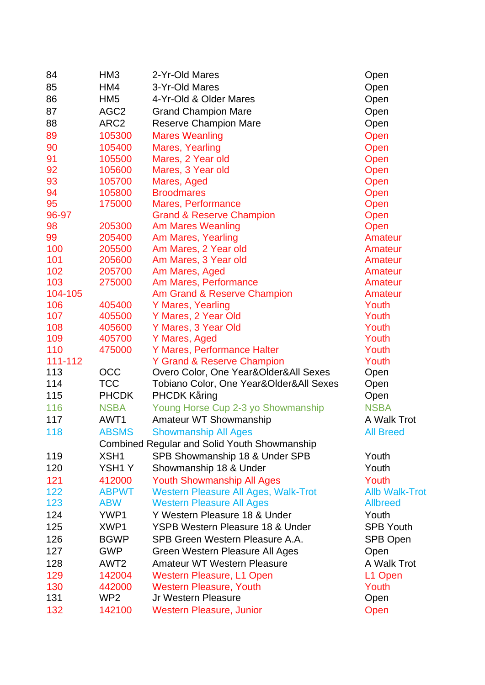| 84      | HM <sub>3</sub>  | 2-Yr-Old Mares                                      | Open                  |
|---------|------------------|-----------------------------------------------------|-----------------------|
| 85      | HM4              | 3-Yr-Old Mares                                      | Open                  |
| 86      | HM <sub>5</sub>  | 4-Yr-Old & Older Mares                              | Open                  |
| 87      | AGC <sub>2</sub> | <b>Grand Champion Mare</b>                          | Open                  |
| 88      | ARC <sub>2</sub> | <b>Reserve Champion Mare</b>                        | Open                  |
| 89      | 105300           | <b>Mares Weanling</b>                               | Open                  |
| 90      | 105400           | Mares, Yearling                                     | Open                  |
| 91      | 105500           | Mares, 2 Year old                                   | Open                  |
| 92      | 105600           | Mares, 3 Year old                                   | Open                  |
| 93      | 105700           | Mares, Aged                                         | Open                  |
| 94      | 105800           | <b>Broodmares</b>                                   | Open                  |
| 95      | 175000           | Mares, Performance                                  | Open                  |
| 96-97   |                  | <b>Grand &amp; Reserve Champion</b>                 | Open                  |
| 98      | 205300           | Am Mares Weanling                                   | Open                  |
| 99      | 205400           | Am Mares, Yearling                                  | Amateur               |
| 100     | 205500           | Am Mares, 2 Year old                                | Amateur               |
| 101     | 205600           | Am Mares, 3 Year old                                | Amateur               |
| 102     | 205700           | Am Mares, Aged                                      | Amateur               |
| 103     | 275000           | Am Mares, Performance                               | Amateur               |
| 104-105 |                  | Am Grand & Reserve Champion                         | Amateur               |
| 106     | 405400           | Y Mares, Yearling                                   | Youth                 |
| 107     | 405500           | Y Mares, 2 Year Old                                 | Youth                 |
| 108     | 405600           | Y Mares, 3 Year Old                                 | Youth                 |
| 109     | 405700           | Y Mares, Aged                                       | Youth                 |
| 110     | 475000           | Y Mares, Performance Halter                         | Youth                 |
| 111-112 |                  | Y Grand & Reserve Champion                          | Youth                 |
| 113     | OCC              | Overo Color, One Year&Older&All Sexes               | Open                  |
| 114     | <b>TCC</b>       | Tobiano Color, One Year&Older&All Sexes             | Open                  |
| 115     | <b>PHCDK</b>     | <b>PHCDK Kåring</b>                                 | Open                  |
| 116     | <b>NSBA</b>      | Young Horse Cup 2-3 yo Showmanship                  | <b>NSBA</b>           |
| 117     | AWT1             | Amateur WT Showmanship                              | A Walk Trot           |
| 118     | <b>ABSMS</b>     | <b>Showmanship All Ages</b>                         | <b>All Breed</b>      |
|         |                  | <b>Combined Regular and Solid Youth Showmanship</b> |                       |
| 119     | XSH1             | SPB Showmanship 18 & Under SPB                      | Youth                 |
| 120     | YSH1Y            | Showmanship 18 & Under                              | Youth                 |
| 121     | 412000           | <b>Youth Showmanship All Ages</b>                   | Youth                 |
| 122     | <b>ABPWT</b>     | <b>Western Pleasure All Ages, Walk-Trot</b>         | <b>Allb Walk-Trot</b> |
| 123     | <b>ABW</b>       | <b>Western Pleasure All Ages</b>                    | <b>Allbreed</b>       |
| 124     | YWP1             | Y Western Pleasure 18 & Under                       | Youth                 |
| 125     | XWP1             | <b>YSPB Western Pleasure 18 &amp; Under</b>         | <b>SPB Youth</b>      |
| 126     | <b>BGWP</b>      | SPB Green Western Pleasure A.A.                     | SPB Open              |
| 127     | <b>GWP</b>       | Green Western Pleasure All Ages                     | Open                  |
| 128     | AWT <sub>2</sub> | <b>Amateur WT Western Pleasure</b>                  | A Walk Trot           |
| 129     | 142004           | <b>Western Pleasure, L1 Open</b>                    | L1 Open               |
| 130     | 442000           | <b>Western Pleasure, Youth</b>                      | Youth                 |
| 131     | WP <sub>2</sub>  | Jr Western Pleasure                                 | Open                  |
| 132     | 142100           | <b>Western Pleasure, Junior</b>                     | Open                  |
|         |                  |                                                     |                       |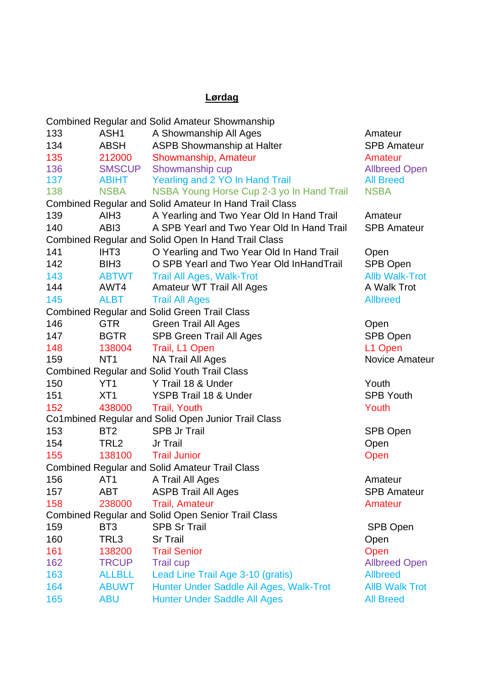## **Lørdag**

|                                                           |                                                                                                                | <b>Combined Regular and Solid Amateur Showmanship</b>  |                       |  |
|-----------------------------------------------------------|----------------------------------------------------------------------------------------------------------------|--------------------------------------------------------|-----------------------|--|
| 133                                                       | ASH <sub>1</sub>                                                                                               | A Showmanship All Ages                                 | Amateur               |  |
| 134                                                       | <b>ABSH</b>                                                                                                    | <b>ASPB Showmanship at Halter</b>                      | <b>SPB Amateur</b>    |  |
| 135                                                       | 212000                                                                                                         | Showmanship, Amateur                                   | Amateur               |  |
| 136                                                       | <b>SMSCUP</b>                                                                                                  | Showmanship cup                                        | <b>Allbreed Open</b>  |  |
| 137                                                       | ABIHT                                                                                                          | Yearling and 2 YO In Hand Trail                        | <b>All Breed</b>      |  |
| 138                                                       | <b>NSBA</b>                                                                                                    | NSBA Young Horse Cup 2-3 yo In Hand Trail              | <b>NSBA</b>           |  |
|                                                           |                                                                                                                | Combined Regular and Solid Amateur In Hand Trail Class |                       |  |
| 139                                                       | AIH <sub>3</sub>                                                                                               | A Yearling and Two Year Old In Hand Trail              | Amateur               |  |
| 140                                                       | ABI3                                                                                                           | A SPB Yearl and Two Year Old In Hand Trail             | <b>SPB Amateur</b>    |  |
|                                                           |                                                                                                                | Combined Regular and Solid Open In Hand Trail Class    |                       |  |
| 141                                                       | IHT <sub>3</sub>                                                                                               | O Yearling and Two Year Old In Hand Trail              | Open                  |  |
| 142                                                       | BIH <sub>3</sub>                                                                                               | O SPB Yearl and Two Year Old InHandTrail               | SPB Open              |  |
| 143                                                       | <b>ABTWT</b>                                                                                                   | <b>Trail All Ages, Walk-Trot</b>                       | <b>Allb Walk-Trot</b> |  |
| 144                                                       | AWT4                                                                                                           | Amateur WT Trail All Ages                              | A Walk Trot           |  |
| 145                                                       | <b>ALBT</b>                                                                                                    | <b>Trail All Ages</b>                                  | <b>Allbreed</b>       |  |
|                                                           |                                                                                                                | <b>Combined Regular and Solid Green Trail Class</b>    |                       |  |
| 146                                                       | <b>GTR</b>                                                                                                     | <b>Green Trail All Ages</b>                            | Open                  |  |
| 147                                                       | BGTR                                                                                                           | <b>SPB Green Trail All Ages</b>                        | SPB Open              |  |
| 148                                                       | 138004                                                                                                         | Trail, L1 Open                                         | L1 Open               |  |
| 159                                                       | NT <sub>1</sub>                                                                                                | NA Trail All Ages                                      | <b>Novice Amateur</b> |  |
|                                                           |                                                                                                                | <b>Combined Regular and Solid Youth Trail Class</b>    |                       |  |
| 150                                                       | YT <sub>1</sub>                                                                                                | Y Trail 18 & Under                                     | Youth                 |  |
| 151                                                       | XT <sub>1</sub>                                                                                                | YSPB Trail 18 & Under                                  | <b>SPB Youth</b>      |  |
| 152                                                       | 438000                                                                                                         | <b>Trail, Youth</b>                                    | Youth                 |  |
|                                                           |                                                                                                                | Co1mbined Regular and Solid Open Junior Trail Class    |                       |  |
| 153                                                       | BT <sub>2</sub>                                                                                                | <b>SPB Jr Trail</b>                                    | SPB Open              |  |
| 154                                                       | TRL <sub>2</sub>                                                                                               | Jr Trail                                               | Open                  |  |
| 155                                                       | 138100                                                                                                         | <b>Trail Junior</b>                                    | Open                  |  |
|                                                           |                                                                                                                | <b>Combined Regular and Solid Amateur Trail Class</b>  |                       |  |
| 156                                                       | AT1 and the set of the set of the set of the set of the set of the set of the set of the set of the set of the | A Trail All Ages                                       | Amateur               |  |
| 157                                                       | ABT                                                                                                            | <b>ASPB Trail All Ages</b>                             | <b>SPB Amateur</b>    |  |
| 158                                                       | 238000                                                                                                         | <b>Trail, Amateur</b>                                  | Amateur               |  |
| <b>Combined Regular and Solid Open Senior Trail Class</b> |                                                                                                                |                                                        |                       |  |
| 159                                                       | BT <sub>3</sub>                                                                                                | <b>SPB Sr Trail</b>                                    | SPB Open              |  |
| 160                                                       | TRL3                                                                                                           | <b>Sr Trail</b>                                        | Open                  |  |
| 161                                                       | 138200                                                                                                         | <b>Trail Senior</b>                                    | Open                  |  |
| 162                                                       | <b>TRCUP</b>                                                                                                   | <b>Trail cup</b>                                       | <b>Allbreed Open</b>  |  |
| 163                                                       | <b>ALLBLL</b>                                                                                                  | Lead Line Trail Age 3-10 (gratis)                      | <b>Allbreed</b>       |  |
| 164                                                       | <b>ABUWT</b>                                                                                                   | Hunter Under Saddle All Ages, Walk-Trot                | <b>AIIB Walk Trot</b> |  |
| 165                                                       | <b>ABU</b>                                                                                                     | <b>Hunter Under Saddle All Ages</b>                    | <b>All Breed</b>      |  |
|                                                           |                                                                                                                |                                                        |                       |  |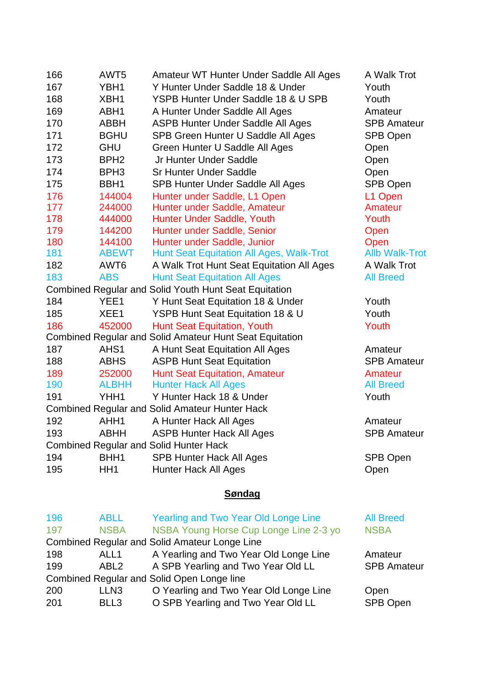| 166                                                   | AWT5             | Amateur WT Hunter Under Saddle All Ages                        | A Walk Trot           |  |
|-------------------------------------------------------|------------------|----------------------------------------------------------------|-----------------------|--|
| 167                                                   | YBH1             | Y Hunter Under Saddle 18 & Under                               | Youth                 |  |
| 168                                                   | XBH1             | YSPB Hunter Under Saddle 18 & U SPB                            | Youth                 |  |
| 169                                                   | ABH1             | A Hunter Under Saddle All Ages                                 | Amateur               |  |
| 170                                                   | <b>ABBH</b>      | <b>ASPB Hunter Under Saddle All Ages</b>                       | <b>SPB Amateur</b>    |  |
| 171                                                   | <b>BGHU</b>      | SPB Green Hunter U Saddle All Ages                             | SPB Open              |  |
| 172                                                   | <b>GHU</b>       | Green Hunter U Saddle All Ages                                 | Open                  |  |
| 173                                                   | BPH <sub>2</sub> | Jr Hunter Under Saddle                                         | Open                  |  |
| 174                                                   | BPH <sub>3</sub> | <b>Sr Hunter Under Saddle</b>                                  | Open                  |  |
| 175                                                   | BBH <sub>1</sub> | SPB Hunter Under Saddle All Ages                               | <b>SPB Open</b>       |  |
| 176                                                   | 144004           | Hunter under Saddle, L1 Open                                   | L1 Open               |  |
| 177                                                   | 244000           | Hunter under Saddle, Amateur                                   | Amateur               |  |
| 178                                                   | 444000           | Hunter Under Saddle, Youth                                     | Youth                 |  |
| 179                                                   | 144200           | Hunter under Saddle, Senior                                    | Open                  |  |
| 180                                                   | 144100           | Hunter under Saddle, Junior                                    | Open                  |  |
| 181                                                   | <b>ABEWT</b>     | <b>Hunt Seat Equitation All Ages, Walk-Trot</b>                | <b>Allb Walk-Trot</b> |  |
| 182                                                   | AWT <sub>6</sub> | A Walk Trot Hunt Seat Equitation All Ages                      | A Walk Trot           |  |
| 183                                                   | <b>ABS</b>       | <b>Hunt Seat Equitation All Ages</b>                           | <b>All Breed</b>      |  |
|                                                       |                  | Combined Regular and Solid Youth Hunt Seat Equitation          |                       |  |
| 184                                                   | YEE1             | Y Hunt Seat Equitation 18 & Under                              | Youth                 |  |
| 185                                                   | XEE1             | YSPB Hunt Seat Equitation 18 & U                               | Youth                 |  |
| 186                                                   | 452000           | <b>Hunt Seat Equitation, Youth</b>                             | Youth                 |  |
|                                                       |                  | <b>Combined Regular and Solid Amateur Hunt Seat Equitation</b> |                       |  |
| 187                                                   | AHS1             | A Hunt Seat Equitation All Ages                                | Amateur               |  |
| 188                                                   | <b>ABHS</b>      | <b>ASPB Hunt Seat Equitation</b>                               | <b>SPB Amateur</b>    |  |
| 189                                                   | 252000           | <b>Hunt Seat Equitation, Amateur</b>                           | Amateur               |  |
| 190                                                   | <b>ALBHH</b>     | <b>Hunter Hack All Ages</b>                                    | <b>All Breed</b>      |  |
| 191                                                   | YHH1             | Y Hunter Hack 18 & Under                                       | Youth                 |  |
| <b>Combined Regular and Solid Amateur Hunter Hack</b> |                  |                                                                |                       |  |
| 192                                                   | AHH1             | A Hunter Hack All Ages                                         | Amateur               |  |
| 193                                                   | <b>ABHH</b>      | <b>ASPB Hunter Hack All Ages</b>                               | <b>SPB Amateur</b>    |  |
|                                                       |                  | <b>Combined Regular and Solid Hunter Hack</b>                  |                       |  |
| 194                                                   | BHH1             | <b>SPB Hunter Hack All Ages</b>                                | SPB Open              |  |
| 195                                                   | HH <sub>1</sub>  | <b>Hunter Hack All Ages</b>                                    | Open                  |  |
|                                                       |                  |                                                                |                       |  |

## **Søndag**

| 196                                        | <b>ABLL</b>      | <b>Yearling and Two Year Old Longe Line</b>          | <b>All Breed</b>   |  |
|--------------------------------------------|------------------|------------------------------------------------------|--------------------|--|
| 197                                        | <b>NSBA</b>      | NSBA Young Horse Cup Longe Line 2-3 yo               | <b>NSBA</b>        |  |
|                                            |                  | <b>Combined Regular and Solid Amateur Longe Line</b> |                    |  |
| 198                                        | ALL <sub>1</sub> | A Yearling and Two Year Old Longe Line               | Amateur            |  |
| 199                                        | ABL <sub>2</sub> | A SPB Yearling and Two Year Old LL                   | <b>SPB Amateur</b> |  |
| Combined Regular and Solid Open Longe line |                  |                                                      |                    |  |
| 200                                        | LLN <sub>3</sub> | O Yearling and Two Year Old Longe Line               | Open               |  |
| 201                                        | BLL3             | O SPB Yearling and Two Year Old LL                   | SPB Open           |  |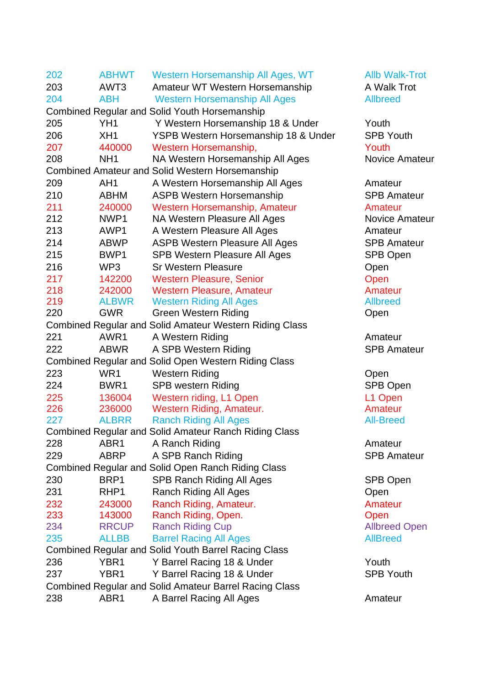| 202                                                           | <b>ABHWT</b>     | Western Horsemanship All Ages, WT                              | <b>Allb Walk-Trot</b> |  |
|---------------------------------------------------------------|------------------|----------------------------------------------------------------|-----------------------|--|
| 203                                                           | AWT3             | Amateur WT Western Horsemanship                                | A Walk Trot           |  |
| 204                                                           | <b>ABH</b>       | <b>Western Horsemanship All Ages</b>                           | <b>Allbreed</b>       |  |
|                                                               |                  | <b>Combined Regular and Solid Youth Horsemanship</b>           |                       |  |
| 205                                                           | YH <sub>1</sub>  | Y Western Horsemanship 18 & Under                              | Youth                 |  |
| 206                                                           | XH <sub>1</sub>  | YSPB Western Horsemanship 18 & Under                           | <b>SPB Youth</b>      |  |
| 207                                                           | 440000           | Western Horsemanship,                                          | Youth                 |  |
| 208                                                           | NH <sub>1</sub>  | NA Western Horsemanship All Ages                               | <b>Novice Amateur</b> |  |
|                                                               |                  | <b>Combined Amateur and Solid Western Horsemanship</b>         |                       |  |
| 209                                                           | AH <sub>1</sub>  | A Western Horsemanship All Ages                                | Amateur               |  |
| 210                                                           | <b>ABHM</b>      | <b>ASPB Western Horsemanship</b>                               | <b>SPB Amateur</b>    |  |
| 211                                                           | 240000           | Western Horsemanship, Amateur                                  | Amateur               |  |
| 212                                                           | NWP1             | NA Western Pleasure All Ages                                   | <b>Novice Amateur</b> |  |
| 213                                                           | AWP1             | A Western Pleasure All Ages                                    | Amateur               |  |
| 214                                                           | <b>ABWP</b>      | <b>ASPB Western Pleasure All Ages</b>                          | <b>SPB Amateur</b>    |  |
| 215                                                           | BWP1             | SPB Western Pleasure All Ages                                  | <b>SPB Open</b>       |  |
| 216                                                           | WP3              | <b>Sr Western Pleasure</b>                                     | Open                  |  |
| 217                                                           | 142200           | <b>Western Pleasure, Senior</b>                                | Open                  |  |
| 218                                                           | 242000           | <b>Western Pleasure, Amateur</b>                               | Amateur               |  |
| 219                                                           | <b>ALBWR</b>     | <b>Western Riding All Ages</b>                                 | <b>Allbreed</b>       |  |
| 220                                                           | <b>GWR</b>       | <b>Green Western Riding</b>                                    | Open                  |  |
|                                                               |                  | <b>Combined Regular and Solid Amateur Western Riding Class</b> |                       |  |
| 221                                                           | AWR1             | A Western Riding                                               | Amateur               |  |
| 222                                                           | <b>ABWR</b>      | A SPB Western Riding                                           | <b>SPB Amateur</b>    |  |
|                                                               |                  | <b>Combined Regular and Solid Open Western Riding Class</b>    |                       |  |
| 223                                                           | WR <sub>1</sub>  | <b>Western Riding</b>                                          | Open                  |  |
| 224                                                           | BWR <sub>1</sub> | <b>SPB western Riding</b>                                      | SPB Open              |  |
| 225                                                           | 136004           | Western riding, L1 Open                                        | L1 Open               |  |
| 226                                                           | 236000           | Western Riding, Amateur.                                       | Amateur               |  |
| 227                                                           | <b>ALBRR</b>     | <b>Ranch Riding All Ages</b>                                   | <b>All-Breed</b>      |  |
|                                                               |                  | <b>Combined Regular and Solid Amateur Ranch Riding Class</b>   |                       |  |
| 228                                                           | ABR1             | A Ranch Riding                                                 | Amateur               |  |
| 229                                                           | <b>ABRP</b>      | A SPB Ranch Riding                                             | <b>SPB Amateur</b>    |  |
| <b>Combined Regular and Solid Open Ranch Riding Class</b>     |                  |                                                                |                       |  |
| 230                                                           | BRP1             | <b>SPB Ranch Riding All Ages</b>                               | SPB Open              |  |
| 231                                                           | RHP1             | <b>Ranch Riding All Ages</b>                                   | Open                  |  |
| 232                                                           | 243000           | Ranch Riding, Amateur.                                         | <b>Amateur</b>        |  |
| 233                                                           | 143000           | Ranch Riding, Open.                                            | Open                  |  |
| 234                                                           | <b>RRCUP</b>     | <b>Ranch Riding Cup</b>                                        | <b>Allbreed Open</b>  |  |
| 235                                                           | <b>ALLBB</b>     | <b>Barrel Racing All Ages</b>                                  | <b>AllBreed</b>       |  |
|                                                               |                  | <b>Combined Regular and Solid Youth Barrel Racing Class</b>    |                       |  |
| 236                                                           | YBR <sub>1</sub> | Y Barrel Racing 18 & Under                                     | Youth                 |  |
| 237                                                           | YBR <sub>1</sub> | Y Barrel Racing 18 & Under                                     | <b>SPB Youth</b>      |  |
| <b>Combined Regular and Solid Amateur Barrel Racing Class</b> |                  |                                                                |                       |  |
| 238                                                           | ABR1             | A Barrel Racing All Ages                                       | Amateur               |  |